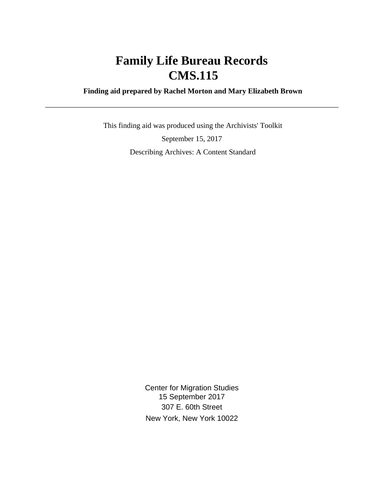# **Family Life Bureau Records CMS.115**

 **Finding aid prepared by Rachel Morton and Mary Elizabeth Brown**

 This finding aid was produced using the Archivists' Toolkit September 15, 2017 Describing Archives: A Content Standard

> Center for Migration Studies 15 September 2017 307 E. 60th Street New York, New York 10022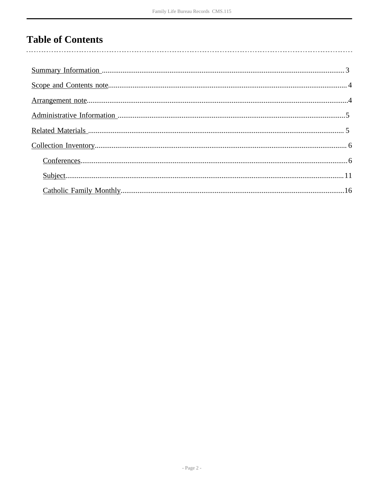# **Table of Contents**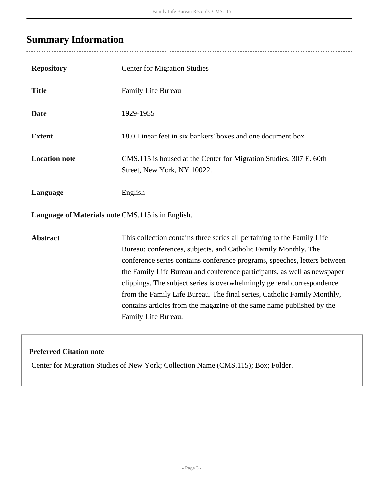# <span id="page-2-0"></span>**Summary Information**

 $\overline{a}$ 

| <b>Repository</b>                                 | <b>Center for Migration Studies</b>                                                                                                                                                                                                                                                                                                                                                                                                                                                                                                                      |
|---------------------------------------------------|----------------------------------------------------------------------------------------------------------------------------------------------------------------------------------------------------------------------------------------------------------------------------------------------------------------------------------------------------------------------------------------------------------------------------------------------------------------------------------------------------------------------------------------------------------|
| <b>Title</b>                                      | Family Life Bureau                                                                                                                                                                                                                                                                                                                                                                                                                                                                                                                                       |
| <b>Date</b>                                       | 1929-1955                                                                                                                                                                                                                                                                                                                                                                                                                                                                                                                                                |
| <b>Extent</b>                                     | 18.0 Linear feet in six bankers' boxes and one document box                                                                                                                                                                                                                                                                                                                                                                                                                                                                                              |
| <b>Location note</b>                              | CMS.115 is housed at the Center for Migration Studies, 307 E. 60th<br>Street, New York, NY 10022.                                                                                                                                                                                                                                                                                                                                                                                                                                                        |
| Language                                          | English                                                                                                                                                                                                                                                                                                                                                                                                                                                                                                                                                  |
| Language of Materials note CMS.115 is in English. |                                                                                                                                                                                                                                                                                                                                                                                                                                                                                                                                                          |
| <b>Abstract</b>                                   | This collection contains three series all pertaining to the Family Life<br>Bureau: conferences, subjects, and Catholic Family Monthly. The<br>conference series contains conference programs, speeches, letters between<br>the Family Life Bureau and conference participants, as well as newspaper<br>clippings. The subject series is overwhelmingly general correspondence<br>from the Family Life Bureau. The final series, Catholic Family Monthly,<br>contains articles from the magazine of the same name published by the<br>Family Life Bureau. |

### **Preferred Citation note**

Center for Migration Studies of New York; Collection Name (CMS.115); Box; Folder.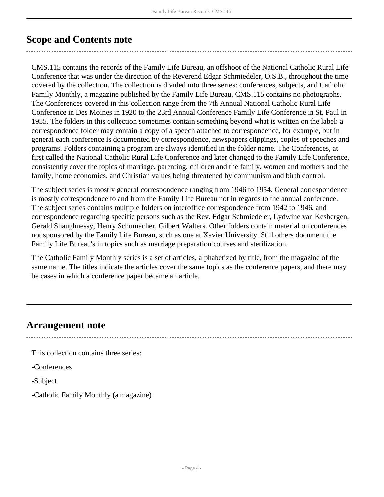### <span id="page-3-0"></span>**Scope and Contents note**

CMS.115 contains the records of the Family Life Bureau, an offshoot of the National Catholic Rural Life Conference that was under the direction of the Reverend Edgar Schmiedeler, O.S.B., throughout the time covered by the collection. The collection is divided into three series: conferences, subjects, and Catholic Family Monthly, a magazine published by the Family Life Bureau. CMS.115 contains no photographs. The Conferences covered in this collection range from the 7th Annual National Catholic Rural Life Conference in Des Moines in 1920 to the 23rd Annual Conference Family Life Conference in St. Paul in 1955. The folders in this collection sometimes contain something beyond what is written on the label: a correspondence folder may contain a copy of a speech attached to correspondence, for example, but in general each conference is documented by correspondence, newspapers clippings, copies of speeches and programs. Folders containing a program are always identified in the folder name. The Conferences, at first called the National Catholic Rural Life Conference and later changed to the Family Life Conference, consistently cover the topics of marriage, parenting, children and the family, women and mothers and the family, home economics, and Christian values being threatened by communism and birth control.

The subject series is mostly general correspondence ranging from 1946 to 1954. General correspondence is mostly correspondence to and from the Family Life Bureau not in regards to the annual conference. The subject series contains multiple folders on interoffice correspondence from 1942 to 1946, and correspondence regarding specific persons such as the Rev. Edgar Schmiedeler, Lydwine van Kesbergen, Gerald Shaughnessy, Henry Schumacher, Gilbert Walters. Other folders contain material on conferences not sponsored by the Family Life Bureau, such as one at Xavier University. Still others document the Family Life Bureau's in topics such as marriage preparation courses and sterilization.

The Catholic Family Monthly series is a set of articles, alphabetized by title, from the magazine of the same name. The titles indicate the articles cover the same topics as the conference papers, and there may be cases in which a conference paper became an article.

### <span id="page-3-1"></span>**Arrangement note**

This collection contains three series:

-Conferences

-Subject

-Catholic Family Monthly (a magazine)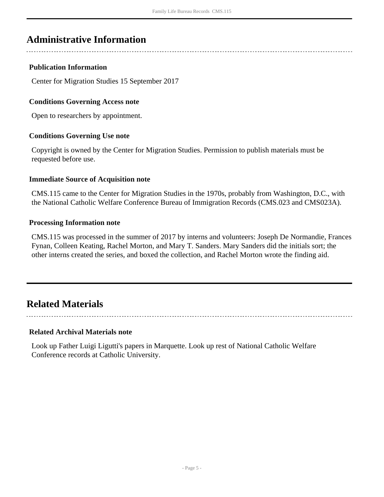## <span id="page-4-0"></span>**Administrative Information**

#### **Publication Information**

Center for Migration Studies 15 September 2017

#### **Conditions Governing Access note**

Open to researchers by appointment.

#### **Conditions Governing Use note**

Copyright is owned by the Center for Migration Studies. Permission to publish materials must be requested before use.

#### **Immediate Source of Acquisition note**

CMS.115 came to the Center for Migration Studies in the 1970s, probably from Washington, D.C., with the National Catholic Welfare Conference Bureau of Immigration Records (CMS.023 and CMS023A).

#### **Processing Information note**

CMS.115 was processed in the summer of 2017 by interns and volunteers: Joseph De Normandie, Frances Fynan, Colleen Keating, Rachel Morton, and Mary T. Sanders. Mary Sanders did the initials sort; the other interns created the series, and boxed the collection, and Rachel Morton wrote the finding aid.

## <span id="page-4-1"></span>**Related Materials**

#### **Related Archival Materials note**

Look up Father Luigi Ligutti's papers in Marquette. Look up rest of National Catholic Welfare Conference records at Catholic University.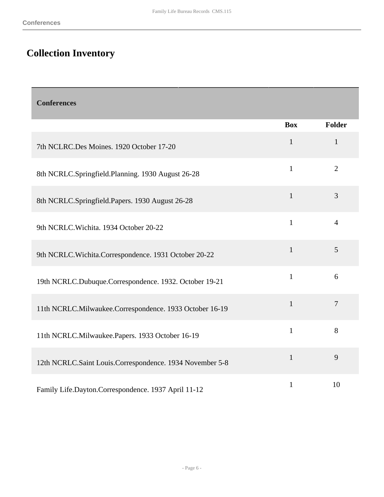# <span id="page-5-0"></span>**Collection Inventory**

<span id="page-5-1"></span>

| <b>Conferences</b>                                       |              |                |
|----------------------------------------------------------|--------------|----------------|
|                                                          | <b>Box</b>   | <b>Folder</b>  |
| 7th NCLRC.Des Moines. 1920 October 17-20                 | $\mathbf{1}$ | $\mathbf{1}$   |
| 8th NCRLC.Springfield.Planning. 1930 August 26-28        | $\mathbf{1}$ | $\overline{2}$ |
| 8th NCRLC.Springfield.Papers. 1930 August 26-28          | $\mathbf{1}$ | 3              |
| 9th NCRLC. Wichita. 1934 October 20-22                   | $\mathbf{1}$ | $\overline{4}$ |
| 9th NCRLC. Wichita. Correspondence. 1931 October 20-22   | $\mathbf{1}$ | 5              |
| 19th NCRLC.Dubuque.Correspondence. 1932. October 19-21   | $\mathbf{1}$ | 6              |
| 11th NCRLC.Milwaukee.Correspondence. 1933 October 16-19  | $\mathbf{1}$ | $\overline{7}$ |
| 11th NCRLC.Milwaukee.Papers. 1933 October 16-19          | $\mathbf{1}$ | 8              |
| 12th NCRLC.Saint Louis.Correspondence. 1934 November 5-8 | $\mathbf{1}$ | 9              |
| Family Life.Dayton.Correspondence. 1937 April 11-12      | $\mathbf{1}$ | 10             |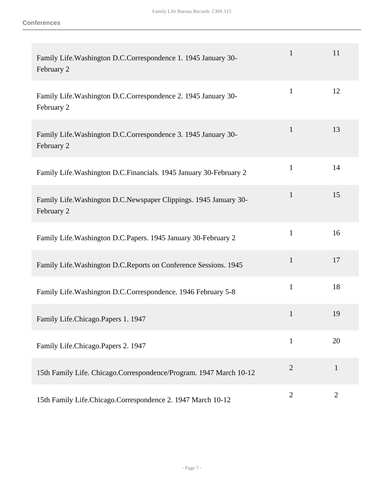| Family Life. Washington D.C.Correspondence 1. 1945 January 30-<br>February 2     | $\mathbf{1}$   | 11             |
|----------------------------------------------------------------------------------|----------------|----------------|
| Family Life. Washington D.C.Correspondence 2. 1945 January 30-<br>February 2     | $\mathbf{1}$   | 12             |
| Family Life. Washington D.C.Correspondence 3. 1945 January 30-<br>February 2     | $\mathbf{1}$   | 13             |
| Family Life. Washington D.C. Financials. 1945 January 30-February 2              | $\mathbf{1}$   | 14             |
| Family Life. Washington D.C. Newspaper Clippings. 1945 January 30-<br>February 2 | $\mathbf{1}$   | 15             |
| Family Life. Washington D.C. Papers. 1945 January 30-February 2                  | $\mathbf{1}$   | 16             |
| Family Life. Washington D.C. Reports on Conference Sessions. 1945                | $\mathbf{1}$   | 17             |
| Family Life. Washington D.C.Correspondence. 1946 February 5-8                    | $\mathbf{1}$   | 18             |
| Family Life.Chicago.Papers 1. 1947                                               | $\mathbf{1}$   | 19             |
| Family Life.Chicago.Papers 2. 1947                                               | $\mathbf{1}$   | 20             |
| 15th Family Life. Chicago.Correspondence/Program. 1947 March 10-12               | $\overline{2}$ | $\mathbf{1}$   |
| 15th Family Life.Chicago.Correspondence 2. 1947 March 10-12                      | $\overline{2}$ | $\overline{2}$ |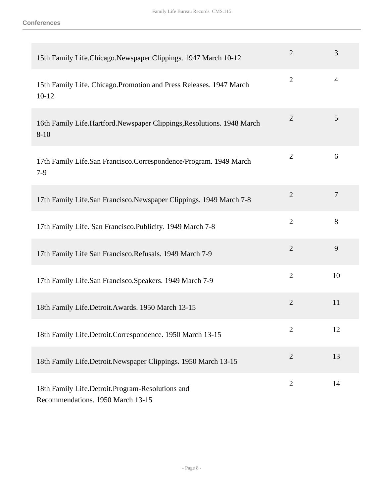| 15th Family Life.Chicago.Newspaper Clippings. 1947 March 10-12                        | $\overline{2}$ | 3              |
|---------------------------------------------------------------------------------------|----------------|----------------|
| 15th Family Life. Chicago. Promotion and Press Releases. 1947 March<br>$10-12$        | $\overline{2}$ | $\overline{4}$ |
| 16th Family Life.Hartford.Newspaper Clippings,Resolutions. 1948 March<br>$8 - 10$     | $\overline{2}$ | 5              |
| 17th Family Life.San Francisco.Correspondence/Program. 1949 March<br>$7-9$            | $\overline{2}$ | 6              |
| 17th Family Life.San Francisco.Newspaper Clippings. 1949 March 7-8                    | $\overline{2}$ | $\overline{7}$ |
| 17th Family Life. San Francisco. Publicity. 1949 March 7-8                            | $\overline{2}$ | 8              |
| 17th Family Life San Francisco. Refusals. 1949 March 7-9                              | $\overline{2}$ | 9              |
| 17th Family Life.San Francisco.Speakers. 1949 March 7-9                               | $\overline{2}$ | 10             |
| 18th Family Life.Detroit.Awards. 1950 March 13-15                                     | $\overline{2}$ | 11             |
| 18th Family Life.Detroit.Correspondence. 1950 March 13-15                             | $\overline{2}$ | 12             |
| 18th Family Life.Detroit.Newspaper Clippings. 1950 March 13-15                        | $\overline{2}$ | 13             |
| 18th Family Life.Detroit.Program-Resolutions and<br>Recommendations. 1950 March 13-15 | $\overline{2}$ | 14             |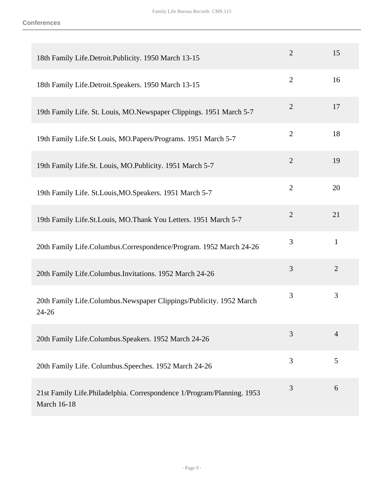| 18th Family Life.Detroit.Publicity. 1950 March 13-15                                         | $\overline{2}$ | 15             |
|----------------------------------------------------------------------------------------------|----------------|----------------|
| 18th Family Life.Detroit.Speakers. 1950 March 13-15                                          | $\overline{2}$ | 16             |
| 19th Family Life. St. Louis, MO.Newspaper Clippings. 1951 March 5-7                          | $\overline{2}$ | 17             |
| 19th Family Life.St Louis, MO.Papers/Programs. 1951 March 5-7                                | $\overline{2}$ | 18             |
| 19th Family Life.St. Louis, MO.Publicity. 1951 March 5-7                                     | $\overline{2}$ | 19             |
| 19th Family Life. St.Louis, MO. Speakers. 1951 March 5-7                                     | $\overline{2}$ | 20             |
| 19th Family Life.St.Louis, MO.Thank You Letters. 1951 March 5-7                              | $\overline{2}$ | 21             |
| 20th Family Life.Columbus.Correspondence/Program. 1952 March 24-26                           | 3              | $\mathbf{1}$   |
| 20th Family Life.Columbus.Invitations. 1952 March 24-26                                      | 3              | $\overline{2}$ |
| 20th Family Life.Columbus.Newspaper Clippings/Publicity. 1952 March<br>$24 - 26$             | 3              | 3              |
| 20th Family Life.Columbus.Speakers. 1952 March 24-26                                         | 3              | $\overline{4}$ |
| 20th Family Life. Columbus. Speeches. 1952 March 24-26                                       | 3              | 5              |
| 21st Family Life.Philadelphia. Correspondence 1/Program/Planning. 1953<br><b>March 16-18</b> | 3              | 6              |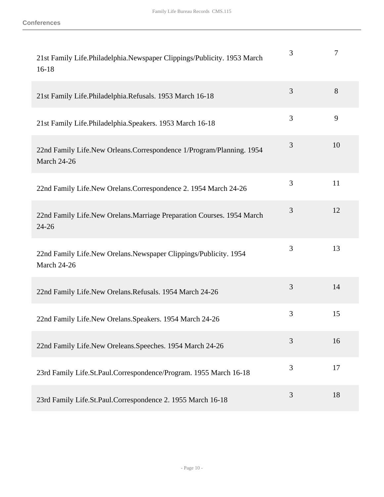| 21st Family Life.Philadelphia.Newspaper Clippings/Publicity. 1953 March<br>$16-18$         | 3 | 7  |
|--------------------------------------------------------------------------------------------|---|----|
| 21st Family Life. Philadelphia. Refusals. 1953 March 16-18                                 | 3 | 8  |
| 21st Family Life. Philadelphia. Speakers. 1953 March 16-18                                 | 3 | 9  |
| 22nd Family Life.New Orleans.Correspondence 1/Program/Planning. 1954<br><b>March 24-26</b> | 3 | 10 |
| 22nd Family Life.New Orelans.Correspondence 2. 1954 March 24-26                            | 3 | 11 |
| 22nd Family Life.New Orelans.Marriage Preparation Courses. 1954 March<br>$24 - 26$         | 3 | 12 |
| 22nd Family Life.New Orelans.Newspaper Clippings/Publicity. 1954<br>March 24-26            | 3 | 13 |
| 22nd Family Life.New Orelans.Refusals. 1954 March 24-26                                    | 3 | 14 |
| 22nd Family Life.New Orelans.Speakers. 1954 March 24-26                                    | 3 | 15 |
| 22nd Family Life.New Oreleans.Speeches. 1954 March 24-26                                   | 3 | 16 |
| 23rd Family Life.St.Paul.Correspondence/Program. 1955 March 16-18                          | 3 | 17 |
| 23rd Family Life.St.Paul.Correspondence 2. 1955 March 16-18                                | 3 | 18 |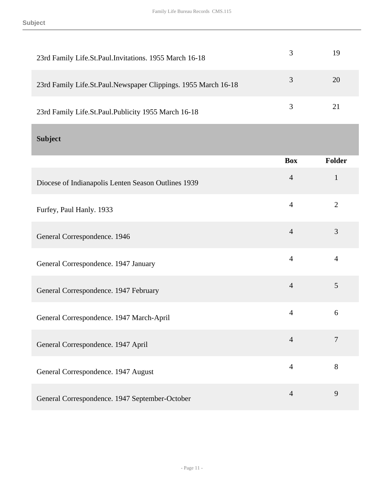<span id="page-10-0"></span>

| 23rd Family Life.St.Paul.Invitations. 1955 March 16-18         | 3              | 19             |
|----------------------------------------------------------------|----------------|----------------|
| 23rd Family Life.St.Paul.Newspaper Clippings. 1955 March 16-18 | $\overline{3}$ | 20             |
| 23rd Family Life.St.Paul.Publicity 1955 March 16-18            | 3              | 21             |
| <b>Subject</b>                                                 |                |                |
|                                                                | <b>Box</b>     | Folder         |
| Diocese of Indianapolis Lenten Season Outlines 1939            | $\overline{4}$ | $\mathbf{1}$   |
| Furfey, Paul Hanly. 1933                                       | $\overline{4}$ | $\overline{2}$ |
| General Correspondence. 1946                                   | $\overline{4}$ | 3              |
| General Correspondence. 1947 January                           | $\overline{4}$ | $\overline{4}$ |
| General Correspondence. 1947 February                          | $\overline{4}$ | 5              |
| General Correspondence. 1947 March-April                       | $\overline{4}$ | 6              |
| General Correspondence. 1947 April                             | $\overline{4}$ | 7              |
| General Correspondence. 1947 August                            | $\overline{4}$ | 8              |
| General Correspondence. 1947 September-October                 | $\overline{4}$ | 9              |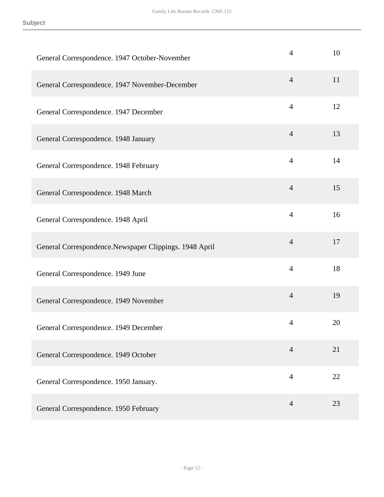| General Correspondence. 1947 October-November           | 4              | 10 |
|---------------------------------------------------------|----------------|----|
| General Correspondence. 1947 November-December          | $\overline{4}$ | 11 |
| General Correspondence. 1947 December                   | $\overline{4}$ | 12 |
| General Correspondence. 1948 January                    | $\overline{4}$ | 13 |
| General Correspondence. 1948 February                   | $\overline{4}$ | 14 |
| General Correspondence. 1948 March                      | $\overline{4}$ | 15 |
| General Correspondence. 1948 April                      | $\overline{4}$ | 16 |
| General Correspondence. Newspaper Clippings. 1948 April | $\overline{4}$ | 17 |
| General Correspondence. 1949 June                       | $\overline{4}$ | 18 |
| General Correspondence. 1949 November                   | $\overline{4}$ | 19 |
| General Correspondence. 1949 December                   | 4              | 20 |
| General Correspondence. 1949 October                    | $\overline{4}$ | 21 |
| General Correspondence. 1950 January.                   | $\overline{4}$ | 22 |
| General Correspondence. 1950 February                   | $\overline{4}$ | 23 |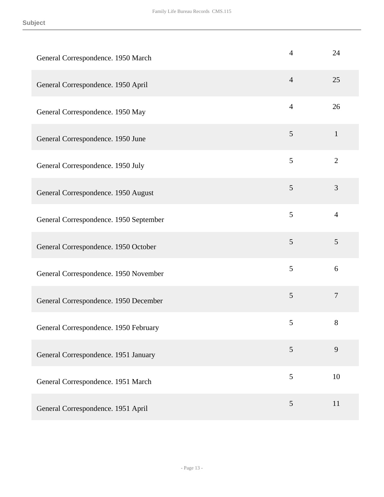| General Correspondence. 1950 March     | $\overline{4}$  | 24               |
|----------------------------------------|-----------------|------------------|
| General Correspondence. 1950 April     | $\overline{4}$  | 25               |
| General Correspondence. 1950 May       | $\overline{4}$  | 26               |
| General Correspondence. 1950 June      | 5               | $\mathbf{1}$     |
| General Correspondence. 1950 July      | 5               | $\overline{2}$   |
| General Correspondence. 1950 August    | 5               | 3                |
| General Correspondence. 1950 September | 5               | $\overline{4}$   |
| General Correspondence. 1950 October   | 5               | 5                |
| General Correspondence. 1950 November  | 5               | 6                |
| General Correspondence. 1950 December  | 5               | $\boldsymbol{7}$ |
| General Correspondence. 1950 February  | 5               | 8                |
| General Correspondence. 1951 January   | $5\overline{)}$ | 9                |
| General Correspondence. 1951 March     | 5               | 10               |
| General Correspondence. 1951 April     | 5               | 11               |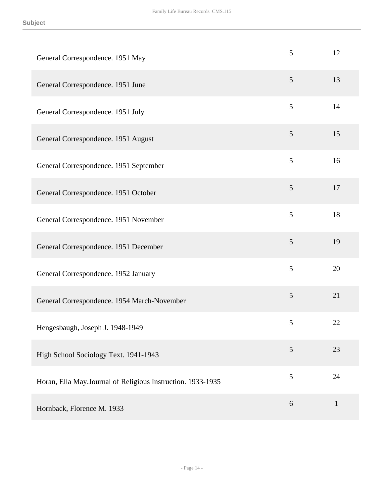| General Correspondence. 1951 May                            | 5 | 12           |
|-------------------------------------------------------------|---|--------------|
| General Correspondence. 1951 June                           | 5 | 13           |
| General Correspondence. 1951 July                           | 5 | 14           |
| General Correspondence. 1951 August                         | 5 | 15           |
| General Correspondence. 1951 September                      | 5 | 16           |
| General Correspondence. 1951 October                        | 5 | 17           |
| General Correspondence. 1951 November                       | 5 | 18           |
| General Correspondence. 1951 December                       | 5 | 19           |
| General Correspondence. 1952 January                        | 5 | 20           |
| General Correspondence. 1954 March-November                 | 5 | 21           |
| Hengesbaugh, Joseph J. 1948-1949                            | 5 | 22           |
| High School Sociology Text. 1941-1943                       | 5 | 23           |
| Horan, Ella May.Journal of Religious Instruction. 1933-1935 | 5 | 24           |
| Hornback, Florence M. 1933                                  | 6 | $\mathbf{1}$ |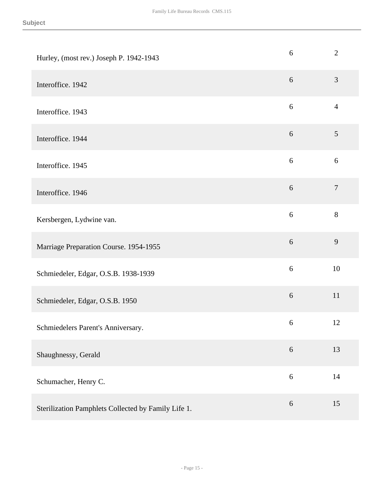| Hurley, (most rev.) Joseph P. 1942-1943             | $6\,$      | $\mathbf{2}$   |
|-----------------------------------------------------|------------|----------------|
| Interoffice. 1942                                   | 6          | 3              |
| Interoffice. 1943                                   | 6          | $\overline{4}$ |
| Interoffice. 1944                                   | $6\,$      | 5              |
| Interoffice. 1945                                   | $6\,$      | 6              |
| Interoffice. 1946                                   | $6\,$      | $\overline{7}$ |
| Kersbergen, Lydwine van.                            | $6\,$      | $8\,$          |
| Marriage Preparation Course. 1954-1955              | $6\,$      | 9              |
| Schmiedeler, Edgar, O.S.B. 1938-1939                | $6\,$      | 10             |
| Schmiedeler, Edgar, O.S.B. 1950                     | 6          | 11             |
| Schmiedelers Parent's Anniversary.                  | $\sqrt{6}$ | 12             |
| Shaughnessy, Gerald                                 | $6\,$      | 13             |
| Schumacher, Henry C.                                | 6          | 14             |
| Sterilization Pamphlets Collected by Family Life 1. | 6          | 15             |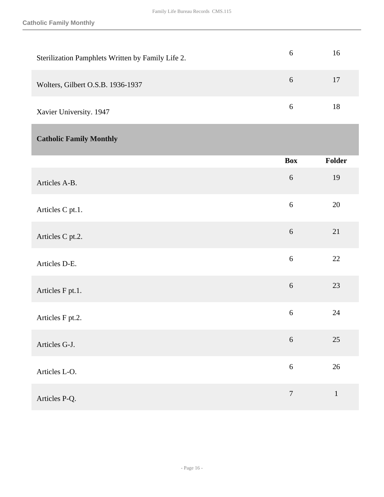**Catholic Family Monthly**

<span id="page-15-0"></span>

| Sterilization Pamphlets Written by Family Life 2. | 6                | 16          |
|---------------------------------------------------|------------------|-------------|
| Wolters, Gilbert O.S.B. 1936-1937                 | $6\,$            | 17          |
| Xavier University. 1947                           | $\sqrt{6}$       | $18\,$      |
| <b>Catholic Family Monthly</b>                    |                  |             |
|                                                   | <b>Box</b>       | Folder      |
| Articles A-B.                                     | 6                | 19          |
| Articles C pt.1.                                  | 6                | $20\,$      |
| Articles C pt.2.                                  | 6                | 21          |
| Articles D-E.                                     | 6                | 22          |
| Articles F pt.1.                                  | 6                | 23          |
| Articles F pt.2.                                  | 6                | 24          |
| Articles G-J.                                     | $\sqrt{6}$       | $25\,$      |
| Articles L-O.                                     | $\boldsymbol{6}$ | $26\,$      |
| Articles P-Q.                                     | $\boldsymbol{7}$ | $\mathbf 1$ |